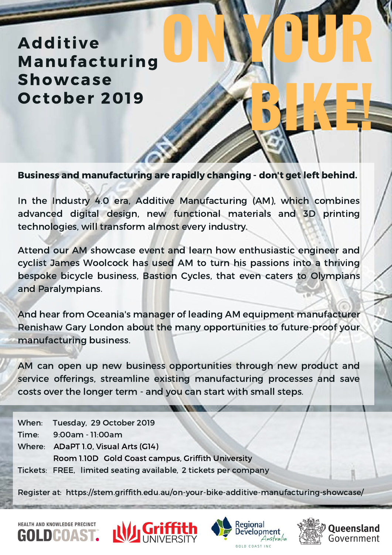**Additive Manufacturing Showcase** October 2019

Business and manufacturing are rapidly changing - don't get left behind.

**ON YOUR**

**BIKE!** 

In the Industry 4.0 era, Additive Manufacturing (AM), which combines advanced digital design, new functional materials and 3D printing technologies, will transform almost every industry.

Attend our AM showcase event and learn how enthusiastic engineer and cyclist James Woolcock has used AM to turn his passions into a thriving bespoke bicycle business, Bastion Cycles, that even caters to Olympians and Paralympians.

And hear from Oceania's manager of leading AM equipment manufacturer Renishaw Gary London about the many opportunities to future-proof your manufacturing business.

AM can open up new business opportunities through new product and service offerings, streamline existing manufacturing processes and save costs over the longer term - and you can start with small steps.

When: Tuesday, 29 October 2019 Time: 9:00am - 11:00am Where: ADaPT 1.0, Visual Arts (G14) Room 1.10D Gold Coast campus, Griffith University Tickets: FREE, limited seating available, 2 tickets per company

Register at: https://stem.griffith.edu.au/on-your-bike-additive-manufacturing-showcase/

**HEALTH AND KNOWLEDGE PRECINCT**